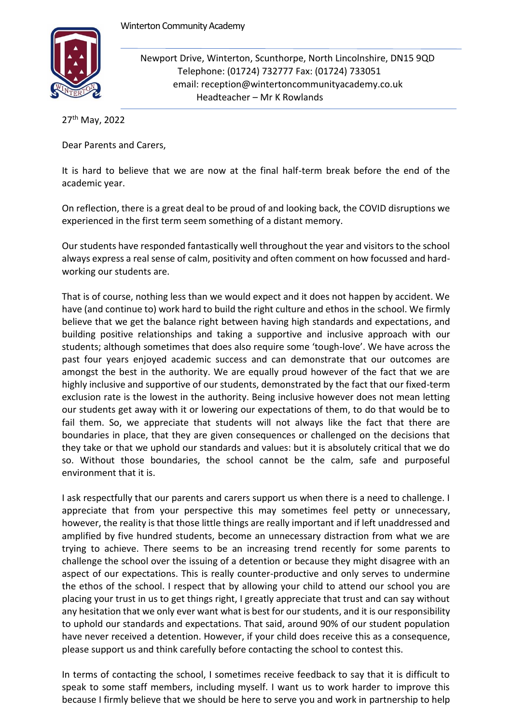

Newport Drive, Winterton, Scunthorpe, North Lincolnshire, DN15 9QD Telephone: (01724) 732777 Fax: (01724) 733051 email: reception@wintertoncommunityacademy.co.uk Headteacher – Mr K Rowlands

27th May, 2022

Dear Parents and Carers,

It is hard to believe that we are now at the final half-term break before the end of the academic year.

On reflection, there is a great deal to be proud of and looking back, the COVID disruptions we experienced in the first term seem something of a distant memory.

Our students have responded fantastically well throughout the year and visitors to the school always express a real sense of calm, positivity and often comment on how focussed and hardworking our students are.

That is of course, nothing less than we would expect and it does not happen by accident. We have (and continue to) work hard to build the right culture and ethos in the school. We firmly believe that we get the balance right between having high standards and expectations, and building positive relationships and taking a supportive and inclusive approach with our students; although sometimes that does also require some 'tough-love'. We have across the past four years enjoyed academic success and can demonstrate that our outcomes are amongst the best in the authority. We are equally proud however of the fact that we are highly inclusive and supportive of our students, demonstrated by the fact that our fixed-term exclusion rate is the lowest in the authority. Being inclusive however does not mean letting our students get away with it or lowering our expectations of them, to do that would be to fail them. So, we appreciate that students will not always like the fact that there are boundaries in place, that they are given consequences or challenged on the decisions that they take or that we uphold our standards and values: but it is absolutely critical that we do so. Without those boundaries, the school cannot be the calm, safe and purposeful environment that it is.

I ask respectfully that our parents and carers support us when there is a need to challenge. I appreciate that from your perspective this may sometimes feel petty or unnecessary, however, the reality is that those little things are really important and if left unaddressed and amplified by five hundred students, become an unnecessary distraction from what we are trying to achieve. There seems to be an increasing trend recently for some parents to challenge the school over the issuing of a detention or because they might disagree with an aspect of our expectations. This is really counter-productive and only serves to undermine the ethos of the school. I respect that by allowing your child to attend our school you are placing your trust in us to get things right, I greatly appreciate that trust and can say without any hesitation that we only ever want what is best for our students, and it is our responsibility to uphold our standards and expectations. That said, around 90% of our student population have never received a detention. However, if your child does receive this as a consequence, please support us and think carefully before contacting the school to contest this.

In terms of contacting the school, I sometimes receive feedback to say that it is difficult to speak to some staff members, including myself. I want us to work harder to improve this because I firmly believe that we should be here to serve you and work in partnership to help